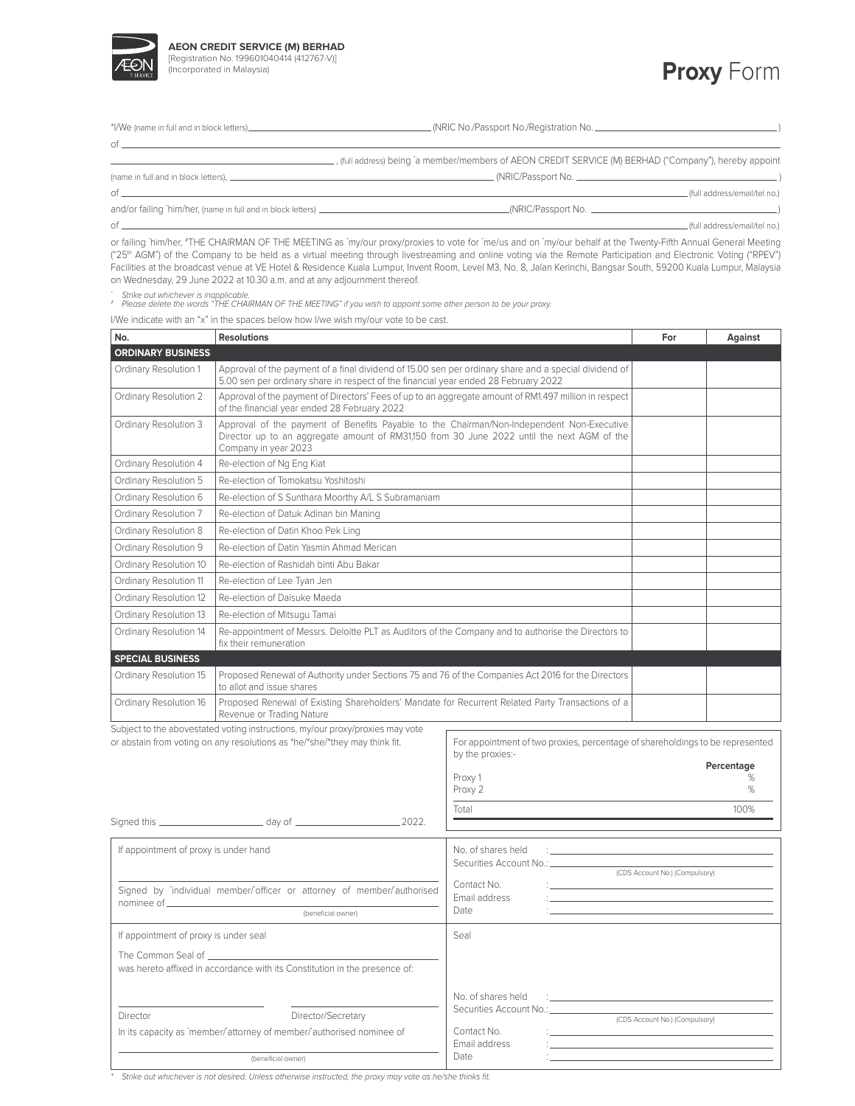

| <b>Proxy Form</b> |  |
|-------------------|--|
|-------------------|--|

| $\circ$ f        |                                                                                                         |  |
|------------------|---------------------------------------------------------------------------------------------------------|--|
|                  | _, (full address) being 'a member/members of AEON CREDIT SERVICE (M) BERHAD ("Company"), hereby appoint |  |
|                  |                                                                                                         |  |
| $\circ$ f        | .(full address/email/tel no.)                                                                           |  |
|                  |                                                                                                         |  |
| $\circ$ f $\sim$ | _(full address/email/tel no.)                                                                           |  |

or failing 'him/her, #THE CHAIRMAN OF THE MEETING as 'my/our proxy/proxies to vote for 'me/us and on 'my/our behalf at the Twenty-Fifth Annual General Meeting ("25th AGM") of the Company to be held as a virtual meeting through livestreaming and online voting via the Remote Participation and Electronic Voting ("RPEV") Facilities at the broadcast venue at VE Hotel & Residence Kuala Lumpur, Invent Room, Level M3, No. 8, Jalan Kerinchi, Bangsar South, 59200 Kuala Lumpur, Malaysia on Wednesday, 29 June 2022 at 10.30 a.m. and at any adjournment thereof.

\* Strike out whichever is inapplicable. # Please delete the words "THE CHAIRMAN OF THE MEETING" if you wish to appoint some other person to be your proxy.

I/We indicate with an "x" in the spaces below how I/we wish my/our vote to be cast.

| No.                                                                                                                                                         | <b>Resolutions</b>                                                                                                                                                                                              |                                                                               |                                | Against              |
|-------------------------------------------------------------------------------------------------------------------------------------------------------------|-----------------------------------------------------------------------------------------------------------------------------------------------------------------------------------------------------------------|-------------------------------------------------------------------------------|--------------------------------|----------------------|
| <b>ORDINARY BUSINESS</b>                                                                                                                                    |                                                                                                                                                                                                                 |                                                                               |                                |                      |
| Ordinary Resolution 1                                                                                                                                       | Approval of the payment of a final dividend of 15.00 sen per ordinary share and a special dividend of<br>5.00 sen per ordinary share in respect of the financial year ended 28 February 2022                    |                                                                               |                                |                      |
| Ordinary Resolution 2                                                                                                                                       | Approval of the payment of Directors' Fees of up to an aggregate amount of RM1.497 million in respect<br>of the financial year ended 28 February 2022                                                           |                                                                               |                                |                      |
| Ordinary Resolution 3                                                                                                                                       | Approval of the payment of Benefits Payable to the Chairman/Non-Independent Non-Executive<br>Director up to an aggregate amount of RM31,150 from 30 June 2022 until the next AGM of the<br>Company in year 2023 |                                                                               |                                |                      |
| Ordinary Resolution 4                                                                                                                                       | Re-election of Ng Eng Kiat                                                                                                                                                                                      |                                                                               |                                |                      |
| Ordinary Resolution 5                                                                                                                                       | Re-election of Tomokatsu Yoshitoshi                                                                                                                                                                             |                                                                               |                                |                      |
| Ordinary Resolution 6                                                                                                                                       | Re-election of S Sunthara Moorthy A/L S Subramaniam                                                                                                                                                             |                                                                               |                                |                      |
| Ordinary Resolution 7                                                                                                                                       | Re-election of Datuk Adinan bin Maning                                                                                                                                                                          |                                                                               |                                |                      |
| Ordinary Resolution 8                                                                                                                                       | Re-election of Datin Khoo Pek Ling                                                                                                                                                                              |                                                                               |                                |                      |
| Ordinary Resolution 9                                                                                                                                       | Re-election of Datin Yasmin Ahmad Merican                                                                                                                                                                       |                                                                               |                                |                      |
| Ordinary Resolution 10                                                                                                                                      | Re-election of Rashidah binti Abu Bakar                                                                                                                                                                         |                                                                               |                                |                      |
| Ordinary Resolution 11                                                                                                                                      | Re-election of Lee Tyan Jen                                                                                                                                                                                     |                                                                               |                                |                      |
| Ordinary Resolution 12                                                                                                                                      | Re-election of Daisuke Maeda                                                                                                                                                                                    |                                                                               |                                |                      |
| Ordinary Resolution 13                                                                                                                                      | Re-election of Mitsugu Tamai                                                                                                                                                                                    |                                                                               |                                |                      |
| Ordinary Resolution 14                                                                                                                                      | Re-appointment of Messrs. Deloitte PLT as Auditors of the Company and to authorise the Directors to<br>fix their remuneration                                                                                   |                                                                               |                                |                      |
| <b>SPECIAL BUSINESS</b>                                                                                                                                     |                                                                                                                                                                                                                 |                                                                               |                                |                      |
| Ordinary Resolution 15                                                                                                                                      | Proposed Renewal of Authority under Sections 75 and 76 of the Companies Act 2016 for the Directors<br>to allot and issue shares                                                                                 |                                                                               |                                |                      |
| Ordinary Resolution 16                                                                                                                                      | Proposed Renewal of Existing Shareholders' Mandate for Recurrent Related Party Transactions of a<br>Revenue or Trading Nature                                                                                   |                                                                               |                                |                      |
| Subject to the abovestated voting instructions, my/our proxy/proxies may vote<br>or abstain from voting on any resolutions as *he/*she/*they may think fit. |                                                                                                                                                                                                                 | For appointment of two proxies, percentage of shareholdings to be represented |                                |                      |
|                                                                                                                                                             |                                                                                                                                                                                                                 | by the proxies:-<br>Proxy 1<br>Proxy 2                                        |                                | Percentage<br>%<br>% |
|                                                                                                                                                             |                                                                                                                                                                                                                 | Total                                                                         |                                | 100%                 |
|                                                                                                                                                             |                                                                                                                                                                                                                 |                                                                               |                                |                      |
|                                                                                                                                                             |                                                                                                                                                                                                                 | No. of shares held                                                            |                                |                      |
| If appointment of proxy is under hand                                                                                                                       |                                                                                                                                                                                                                 | Securities Account No.: ___________                                           |                                |                      |
|                                                                                                                                                             |                                                                                                                                                                                                                 | Contact No.                                                                   | (CDS Account No.) (Compulsory) |                      |
| Signed by 'individual member/'officer or attorney of member/'authorised<br>nominee of <b>compared</b><br>(beneficial owner)                                 |                                                                                                                                                                                                                 | Email address                                                                 |                                |                      |
|                                                                                                                                                             |                                                                                                                                                                                                                 | Date                                                                          |                                |                      |
| If appointment of proxy is under seal                                                                                                                       |                                                                                                                                                                                                                 | Seal                                                                          |                                |                      |
| The Common Seal of _                                                                                                                                        |                                                                                                                                                                                                                 |                                                                               |                                |                      |
|                                                                                                                                                             | was hereto affixed in accordance with its Constitution in the presence of:                                                                                                                                      |                                                                               |                                |                      |
|                                                                                                                                                             |                                                                                                                                                                                                                 | No. of shares held                                                            |                                |                      |
|                                                                                                                                                             |                                                                                                                                                                                                                 | Securities Account No.:                                                       |                                |                      |
| Director/Secretary<br>Director<br>In its capacity as 'member/'attorney of member/'authorised nominee of<br>(beneficial owner)                               |                                                                                                                                                                                                                 | Contact No.                                                                   | (CDS Account No.) (Compulsory) |                      |
|                                                                                                                                                             |                                                                                                                                                                                                                 | Email address                                                                 |                                |                      |
|                                                                                                                                                             |                                                                                                                                                                                                                 | Date                                                                          |                                |                      |

Strike out whichever is not desired. Unless otherwise instructed, the proxy may vote as he/she thinks fit.